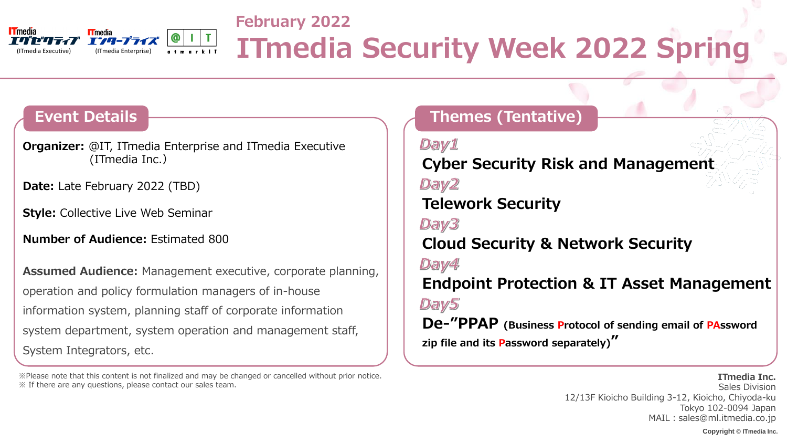### **Event Details**

**Copyright © ITmedia Inc.**



## **February 2022 COLOGINAL INCREAR IN THE COLOGINAL SECURITY Week 2022 Spring**

**Themes (Tentative)**

## **Cyber Security Risk and Management**

## **Cloud Security & Network Security**

Day1 Day2 **Telework Security** Day3 Day4 Day5 **zip file and its Password separately)"**

## **Endpoint Protection & IT Asset Management**

Sales Division 12/13F Kioicho Building 3-12, Kioicho, Chiyoda-ku Tokyo 102-0094 Japan MAIL: sales@ml.itmedia.co.jp

# **De-"PPAP (Business Protocol of sending email of PAssword**

### **ITmedia Inc.**

**Organizer:** @IT, ITmedia Enterprise and ITmedia Executive (ITmedia Inc.)

**Date:** Late February 2022 (TBD)

**Style: Collective Live Web Seminar** 

**Number of Audience: Estimated 800** 

**Assumed Audience:** Management executive, corporate planning, operation and policy formulation managers of in-house information system, planning staff of corporate information system department, system operation and management staff, System Integrators, etc.

※Please note that this content is not finalized and may be changed or cancelled without prior notice. ※ If there are any questions, please contact our sales team.